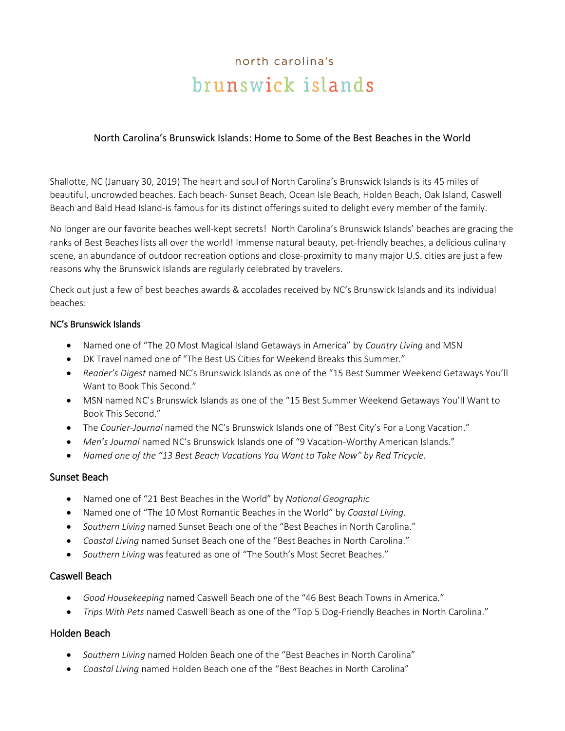# north carolina's brunswick islands

## North Carolina's Brunswick Islands: Home to Some of the Best Beaches in the World

Shallotte, NC (January 30, 2019) The heart and soul of North Carolina's Brunswick Islands is its 45 miles of beautiful, uncrowded beaches. Each beach- Sunset Beach, Ocean Isle Beach, Holden Beach, Oak Island, Caswell Beach and Bald Head Island-is famous for its distinct offerings suited to delight every member of the family.

No longer are our favorite beaches well-kept secrets! North Carolina's Brunswick Islands' beaches are gracing the ranks of Best Beaches lists all over the world! Immense natural beauty, pet-friendly beaches, a delicious culinary scene, an abundance of outdoor recreation options and close-proximity to many major U.S. cities are just a few reasons why the Brunswick Islands are regularly celebrated by travelers.

Check out just a few of best beaches awards & accolades received by NC's Brunswick Islands and its individual beaches:

#### NC's Brunswick Islands

- Named one of "The 20 Most Magical Island Getaways in America" by *Country Living* and MSN
- DK Travel named one of "The Best US Cities for Weekend Breaks this Summer."
- *Reader's Digest* named NC's Brunswick Islands as one of the "15 Best Summer Weekend Getaways You'll Want to Book This Second."
- MSN named NC's Brunswick Islands as one of the "15 Best Summer Weekend Getaways You'll Want to Book This Second."
- The *Courier-Journal* named the NC's Brunswick Islands one of "Best City's For a Long Vacation."
- *Men's Journal* named NC's Brunswick Islands one of "9 Vacation-Worthy American Islands."
- *Named one of the "13 Best Beach Vacations You Want to Take Now" by Red Tricycle.*

## Sunset Beach

- Named one of "21 Best Beaches in the World" by *National Geographic*
- Named one of "The 10 Most Romantic Beaches in the World" by *Coastal Living.*
- *Southern Living* named Sunset Beach one of the "Best Beaches in North Carolina."
- *Coastal Living* named Sunset Beach one of the "Best Beaches in North Carolina."
- *Southern Living* was featured as one of "The South's Most Secret Beaches."

# Caswell Beach

- *Good Housekeeping* named Caswell Beach one of the "46 Best Beach Towns in America."
- *Trips With Pets* named Caswell Beach as one of the "Top 5 Dog-Friendly Beaches in North Carolina."

# Holden Beach

- *Southern Living* named Holden Beach one of the "Best Beaches in North Carolina"
- *Coastal Living* named Holden Beach one of the "Best Beaches in North Carolina"